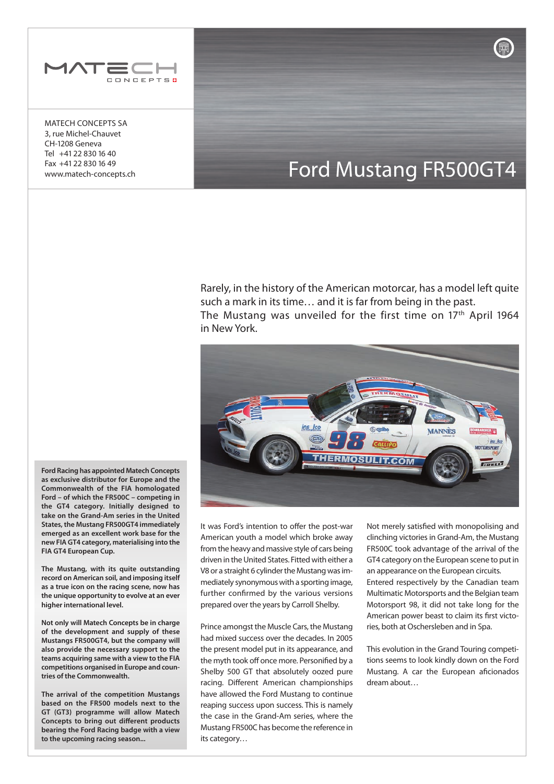

MATECH CONCEPTS SA 3, rue Michel-Chauvet CH-1208 Geneva Tel +41 22 830 16 40 Fax +41 22 830 16 49 www.matech-concepts.ch

# Ford Mustang FR500GT4

Rarely, in the history of the American motorcar, has a model left quite such a mark in its time… and it is far from being in the past. The Mustang was unveiled for the first time on  $17<sup>th</sup>$  April 1964 in New York.



**Ford Racing has appointed Matech Concepts as exclusive distributor for Europe and the Commonwealth of the FIA homologated Ford – of which the FR500C – competing in the GT4 category. Initially designed to take on the Grand-Am series in the United States, the Mustang FR500GT4 immediately emerged as an excellent work base for the new FIA GT4 category, materialising into the FIA GT4 European Cup.**

**The Mustang, with its quite outstanding record on American soil, and imposing itself as a true icon on the racing scene, now has the unique opportunity to evolve at an ever higher international level.**

**Not only will Matech Concepts be in charge of the development and supply of these Mustangs FR500GT4, but the company will also provide the necessary support to the teams acquiring same with a view to the FIA competitions organised in Europe and countries of the Commonwealth.**

**The arrival of the competition Mustangs based on the FR500 models next to the GT (GT3) programme will allow Matech Concepts to bring out different products bearing the Ford Racing badge with a view to the upcoming racing season...**

It was Ford's intention to offer the post-war American youth a model which broke away from the heavy and massive style of cars being driven in the United States. Fitted with either a V8 or a straight 6 cylinder the Mustang was immediately synonymous with a sporting image, further confirmed by the various versions prepared over the years by Carroll Shelby.

Prince amongst the Muscle Cars, the Mustang had mixed success over the decades. In 2005 the present model put in its appearance, and the myth took off once more. Personified by a Shelby 500 GT that absolutely oozed pure racing. Different American championships have allowed the Ford Mustang to continue reaping success upon success. This is namely the case in the Grand-Am series, where the Mustang FR500C has become the reference in its category…

Not merely satisfied with monopolising and clinching victories in Grand-Am, the Mustang FR500C took advantage of the arrival of the GT4 category on the European scene to put in an appearance on the European circuits. Entered respectively by the Canadian team Multimatic Motorsports and the Belgian team Motorsport 98, it did not take long for the American power beast to claim its first victories, both at Oschersleben and in Spa.

This evolution in the Grand Touring competitions seems to look kindly down on the Ford Mustang. A car the European aficionados dream about…